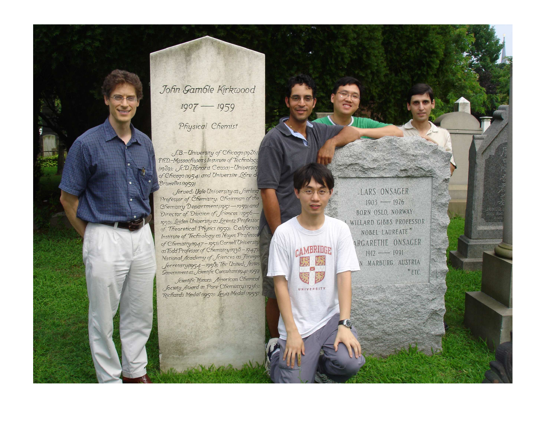

John Gam6le Kirkwood  $1907 - 1959$ Physical Chemist

J.B.-University of Chicago (1926) Ph.D.-Massachusetts Institute of Technology (1929): Sc.D. (Honoris Causa)-University of Chicago (1954) and Universite Libre di Bruxelles(1959)

Jerved: Uale University as Jerling Professor of Chemistry: Chairman of the Chemistry Department (1951-1959) and Director of Division of Sciences 11956-1959: Leiden University as Lorentz Professor of Theoretical Physics (1959): California<br>Institute of Technology as Noyes Professor<br>of Chemistry(1947 – 1951): Cornell University<br>as Todd Professor of Chemistry(1938 – 1947): National Academy of Jciences as Foreign Secretary 1954 - 1958); The United States<br>Government as Scientific Consultant 1941-1959

Scientific Honors: American Chemical Jociety Award in Pure Chemistry (1936):<br>Richards Medal (1950): Lewis Medal (1955)

LARS ONSAGER  $1903 - 1976$ BORN OSLO, NORWAY WILLARD GIBBS PROFESSOR NOBEL LAUREATE\* ARGARETHE ONSAGER  $1912 - 1991$ N MARBURG, AUSTRIA  $*$  ETC

CAMBRIDGE

唱

UNIVERSITY

55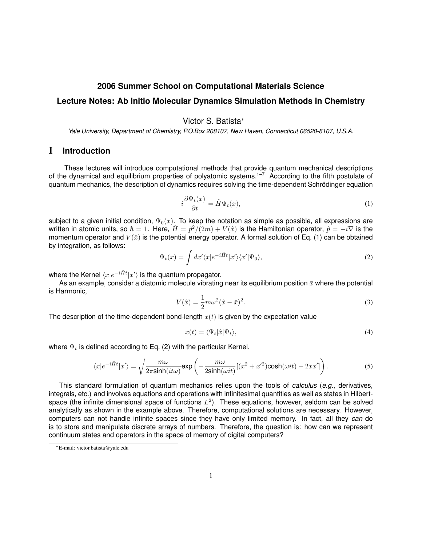#### **2006 Summer School on Computational Materials Science**

#### **Lecture Notes: Ab Initio Molecular Dynamics Simulation Methods in Chemistry**

Victor S. Batista<sup>∗</sup>

*Yale University, Department of Chemistry, P.O.Box 208107, New Haven, Connecticut 06520-8107, U.S.A.*

# I **Introduction**

These lectures will introduce computational methods that provide quantum mechanical descriptions of the dynamical and equilibrium properties of polyatomic systems.<sup>1-7</sup> According to the fifth postulate of quantum mechanics, the description of dynamics requires solving the time-dependent Schrödinger equation

$$
i\frac{\partial \Psi_t(x)}{\partial t} = \hat{H}\Psi_t(x),\tag{1}
$$

subject to a given initial condition,  $\Psi_0(x)$ . To keep the notation as simple as possible, all expressions are written in atomic units, so  $\hbar = 1$ . Here,  $\hat{H} = \hat{p}^2/(2m) + V(\hat{x})$  is the Hamiltonian operator,  $\hat{p} = -i\nabla$  is the momentum operator and  $V(\hat{x})$  is the potential energy operator. A formal solution of Eq. (1) can be obtained by integration, as follows:

$$
\Psi_t(x) = \int dx' \langle x | e^{-i\hat{H}t} | x' \rangle \langle x' | \Psi_0 \rangle, \tag{2}
$$

where the Kernel  $\langle x|e^{-i\hat{H}t}|x'\rangle$  is the quantum propagator.

As an example, consider a diatomic molecule vibrating near its equilibrium position  $\bar{x}$  where the potential is Harmonic,

$$
V(\hat{x}) = \frac{1}{2}m\omega^2(\hat{x} - \bar{x})^2.
$$
\n(3)

The description of the time-dependent bond-length  $x(t)$  is given by the expectation value

$$
x(t) = \langle \Psi_t | \hat{x} | \Psi_t \rangle,\tag{4}
$$

where  $\Psi_t$  is defined according to Eq. (2) with the particular Kernel,

$$
\langle x|e^{-i\hat{H}t}|x'\rangle = \sqrt{\frac{m\omega}{2\pi\sinh(it\omega)}}\exp\left(-\frac{m\omega}{2\sinh(\omega it)}[(x^2+x^2)\cosh(\omega it) - 2xx']\right).
$$
 (5)

This standard formulation of quantum mechanics relies upon the tools of *calculus* (*e.g.*, derivatives, integrals, etc.) and involves equations and operations with infinitesimal quantities as well as states in Hilbertspace (the infinite dimensional space of functions  $L^2$ ). These equations, however, seldom can be solved analytically as shown in the example above. Therefore, computational solutions are necessary. However, computers can not handle infinite spaces since they have only limited memory. In fact, all they *can* do is to store and manipulate discrete arrays of numbers. Therefore, the question is: how can we represent continuum states and operators in the space of memory of digital computers?

<sup>∗</sup>E-mail: victor.batista@yale.edu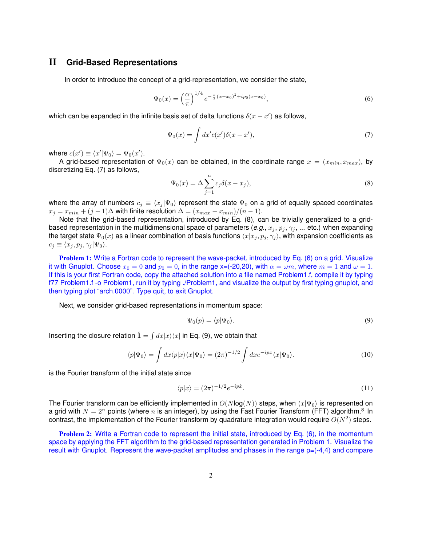# II **Grid-Based Representations**

In order to introduce the concept of a grid-representation, we consider the state,

$$
\Psi_0(x) = \left(\frac{\alpha}{\pi}\right)^{1/4} e^{-\frac{\alpha}{2}(x-x_0)^2 + ip_0(x-x_0)},\tag{6}
$$

which can be expanded in the infinite basis set of delta functions  $\delta(x-x')$  as follows,

$$
\Psi_0(x) = \int dx' c(x') \delta(x - x'),\tag{7}
$$

where  $c(x') \equiv \langle x' | \Psi_0 \rangle = \Psi_0(x')$ .

A grid-based representation of  $\Psi_0(x)$  can be obtained, in the coordinate range  $x = (x_{min}, x_{max})$ , by discretizing Eq. (7) as follows,

$$
\Psi_0(x) = \Delta \sum_{j=1}^n c_j \delta(x - x_j),\tag{8}
$$

where the array of numbers  $c_i \equiv \langle x_i | \Psi_0 \rangle$  represent the state  $\Psi_0$  on a grid of equally spaced coordinates  $x_j = x_{min} + (j-1)\Delta$  with finite resolution  $\Delta = (x_{max} - x_{min})/(n-1)$ .

Note that the grid-based representation, introduced by Eq. (8), can be trivially generalized to a gridbased representation in the multidimensional space of parameters (*e.g.*,  $x_j$ ,  $p_j$ ,  $\gamma_j$ , ... etc.) when expanding the target state  $\Psi_0(x)$  as a linear combination of basis functions  $\langle x|x_i, p_i, \gamma_i \rangle$ , with expansion coefficients as  $c_i \equiv \langle x_i, p_i, \gamma_i | \Psi_0 \rangle.$ 

Problem 1: Write a Fortran code to represent the wave-packet, introduced by Eq. (6) on a grid. Visualize it with Gnuplot. Choose  $x_0 = 0$  and  $p_0 = 0$ , in the range x=(-20,20), with  $\alpha = \omega m$ , where  $m = 1$  and  $\omega = 1$ . If this is your first Fortran code, copy the attached solution into a file named Problem1.f, compile it by typing f77 Problem1.f -o Problem1, run it by typing ./Problem1, and visualize the output by first typing gnuplot, and then typing plot "arch.0000". Type quit, to exit Gnuplot.

Next, we consider grid-based representations in momentum space:

$$
\Psi_0(p) = \langle p | \Psi_0 \rangle. \tag{9}
$$

Inserting the closure relation  $\hat{1} = \int dx |x\rangle\langle x|$  in Eq. (9), we obtain that

$$
\langle p|\Psi_0\rangle = \int dx \langle p|x\rangle \langle x|\Psi_0\rangle = (2\pi)^{-1/2} \int dx e^{-ipx} \langle x|\Psi_0\rangle.
$$
 (10)

is the Fourier transform of the initial state since

$$
\langle p|x\rangle = (2\pi)^{-1/2} e^{-ip\hat{x}}.\tag{11}
$$

The Fourier transform can be efficiently implemented in  $O(N \log(N))$  steps, when  $\langle x|\Psi_0\rangle$  is represented on a grid with  $N=2^n$  points (where n is an integer), by using the Fast Fourier Transform (FFT) algorithm.<sup>8</sup> In contrast, the implementation of the Fourier transform by quadrature integration would require  $O(N^2)$  steps.

Problem 2: Write a Fortran code to represent the initial state, introduced by Eq. (6), in the momentum space by applying the FFT algorithm to the grid-based representation generated in Problem 1. Visualize the result with Gnuplot. Represent the wave-packet amplitudes and phases in the range  $p=(-4,4)$  and compare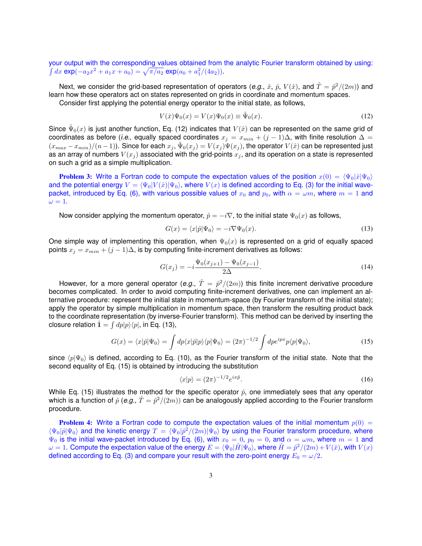your output with the corresponding values obtained from the analytic Fourier transform obtained by using:  $\int dx \exp(-a_2x^2 + a_1x + a_0) = \sqrt{\pi/a_2} \exp(a_0 + a_1^2/(4a_2)).$ 

Next, we consider the grid-based representation of operators (e.g.,  $\hat{x}$ ,  $\hat{p}$ ,  $V(\hat{x})$ , and  $\hat{T} = \hat{p}^2/(2m)$ ) and learn how these operators act on states represented on grids in coordinate and momentum spaces.

Consider first applying the potential energy operator to the initial state, as follows,

$$
V(\hat{x})\Psi_0(x) = V(x)\Psi_0(x) \equiv \tilde{\Psi}_0(x). \tag{12}
$$

Since  $\tilde{\Psi}_0(x)$  is just another function, Eq. (12) indicates that  $V(\hat{x})$  can be represented on the same grid of coordinates as before (*i.e.*, equally spaced coordinates  $x_j = x_{min} + (j - 1)\Delta$ , with finite resolution  $\Delta =$  $(x_{max}-x_{min})/(n-1)$ ). Since for each  $x_j$ ,  $\tilde{\Psi}_0(x_j)=V(x_j)\Psi(x_j)$ , the operator  $V(\hat{x})$  can be represented just as an array of numbers  $V(x_i)$  associated with the grid-points  $x_i$ , and its operation on a state is represented on such a grid as a simple multiplication.

**Problem 3:** Write a Fortran code to compute the expectation values of the position  $x(0) = \langle \Psi_0 | \hat{x} | \Psi_0 \rangle$ and the potential energy  $V = \langle \Psi_0 | V(\hat{x}) | \Psi_0 \rangle$ , where  $V(x)$  is defined according to Eq. (3) for the initial wavepacket, introduced by Eq. (6), with various possible values of  $x_0$  and  $p_0$ , with  $\alpha = \omega m$ , where  $m = 1$  and  $\omega = 1.$ 

Now consider applying the momentum operator,  $\hat{p} = -i\nabla$ , to the initial state  $\Psi_0(x)$  as follows,

$$
G(x) = \langle x|\hat{p}|\Psi_0\rangle = -i\nabla\Psi_0(x). \tag{13}
$$

One simple way of implementing this operation, when  $\Psi_0(x)$  is represented on a grid of equally spaced points  $x_j = x_{min} + (j - 1)\Delta$ , is by computing finite-increment derivatives as follows:

$$
G(x_j) = -i \frac{\Psi_0(x_{j+1}) - \Psi_0(x_{j-1})}{2\Delta}.
$$
\n(14)

However, for a more general operator (e.g.,  $\hat{T} = \hat{p}^2/(2m)$ ) this finite increment derivative procedure becomes complicated. In order to avoid computing finite-increment derivatives, one can implement an alternative procedure: represent the initial state in momentum-space (by Fourier transform of the initial state); apply the operator by simple multiplication in momentum space, then transform the resulting product back to the coordinate representation (by inverse-Fourier transform). This method can be derived by inserting the closure relation  $\hat{1} = \int dp |p\rangle\langle p|$ , in Eq. (13),

$$
G(x) = \langle x|\hat{p}|\Psi_0\rangle = \int dp \langle x|\hat{p}|p\rangle \langle p|\Psi_0\rangle = (2\pi)^{-1/2} \int dp e^{ipx} p \langle p|\Psi_0\rangle, \qquad (15)
$$

since  $\langle p|\Psi_0\rangle$  is defined, according to Eq. (10), as the Fourier transform of the initial state. Note that the second equality of Eq. (15) is obtained by introducing the substitution

$$
\langle x|p\rangle = (2\pi)^{-1/2} e^{ix\hat{p}}.
$$
\n(16)

While Eq. (15) illustrates the method for the specific operator  $\hat{p}$ , one immediately sees that any operator which is a function of  $\hat{p}$  (e.g.,  $\hat{T}=\hat{p}^2/(2m))$  can be analogously applied according to the Fourier transform procedure.

**Problem 4:** Write a Fortran code to compute the expectation values of the initial momentum  $p(0)$  =  $\langle\Psi_0|\hat p|\Psi_0\rangle$  and the kinetic energy  $T=\langle\Psi_0|\hat p^2/(2m)|\Psi_0\rangle$  by using the Fourier transform procedure, where  $\Psi_0$  is the initial wave-packet introduced by Eq. (6), with  $x_0 = 0$ ,  $p_0 = 0$ , and  $\alpha = \omega m$ , where  $m = 1$  and  $\omega = 1$ . Compute the expectation value of the energy  $E = \langle \Psi_0 | \hat{H} | \Psi_0 \rangle$ , where  $\hat{H} = \hat{p}^2/(2m) + V(\hat{x})$ , with  $V(x)$ defined according to Eq. (3) and compare your result with the zero-point energy  $E_0 = \omega/2$ .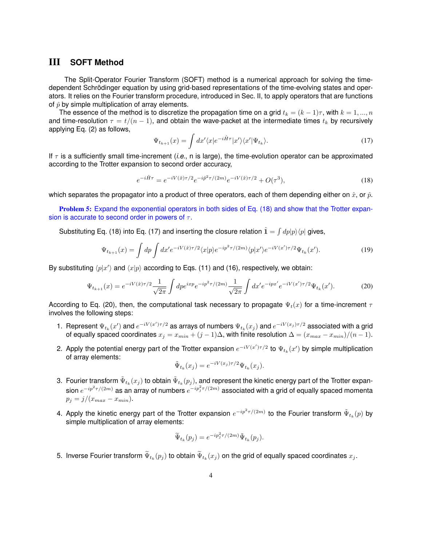# III **SOFT Method**

The Split-Operator Fourier Transform (SOFT) method is a numerical approach for solving the timedependent Schrödinger equation by using grid-based representations of the time-evolving states and operators. It relies on the Fourier transform procedure, introduced in Sec. II, to apply operators that are functions of  $\hat{p}$  by simple multiplication of array elements.

The essence of the method is to discretize the propagation time on a grid  $t_k = (k-1)\tau$ , with  $k = 1, ..., n$ and time-resolution  $\tau = t/(n-1)$ , and obtain the wave-packet at the intermediate times  $t_k$  by recursively applying Eq. (2) as follows,

$$
\Psi_{t_{k+1}}(x) = \int dx' \langle x | e^{-i\hat{H}\tau} | x' \rangle \langle x' | \Psi_{t_k} \rangle.
$$
\n(17)

If  $\tau$  is a sufficiently small time-increment (*i.e.*, n is large), the time-evolution operator can be approximated according to the Trotter expansion to second order accuracy,

$$
e^{-i\hat{H}\tau} = e^{-iV(\hat{x})\tau/2}e^{-i\hat{p}^2\tau/(2m)}e^{-iV(\hat{x})\tau/2} + O(\tau^3),\tag{18}
$$

which separates the propagator into a product of three operators, each of them depending either on  $\hat{x}$ , or  $\hat{p}$ .

Problem 5: Expand the exponential operators in both sides of Eq. (18) and show that the Trotter expansion is accurate to second order in powers of  $\tau$ .

Substituting Eq. (18) into Eq. (17) and inserting the closure relation  $\hat{1} = \int dp |p\rangle\langle p|$  gives,

$$
\Psi_{t_{k+1}}(x) = \int dp \int dx' e^{-iV(\hat{x})\tau/2} \langle x|p \rangle e^{-ip^2 \tau/(2m)} \langle p|x' \rangle e^{-iV(x')\tau/2} \Psi_{t_k}(x'). \tag{19}
$$

By substituting  $\langle p|x'\rangle$  and  $\langle x|p\rangle$  according to Eqs. (11) and (16), respectively, we obtain:

$$
\Psi_{t_{k+1}}(x) = e^{-iV(\hat{x})\tau/2} \frac{1}{\sqrt{2\pi}} \int dp e^{ixp} e^{-ip^2\tau/(2m)} \frac{1}{\sqrt{2\pi}} \int dx' e^{-ipx'} e^{-iV(x')\tau/2} \Psi_{t_k}(x'). \tag{20}
$$

According to Eq. (20), then, the computational task necessary to propagate  $\Psi_t(x)$  for a time-increment  $\tau$ involves the following steps:

- 1. Represent  $\Psi_{t_k}(x')$  and  $e^{-iV(x')\tau/2}$  as arrays of numbers  $\Psi_{t_k}(x_j)$  and  $e^{-iV(x_j)\tau/2}$  associated with a grid of equally spaced coordinates  $x_j = x_{min} + (j-1)\Delta$ , with finite resolution  $\Delta = (x_{max} - x_{min})/(n-1)$ .
- 2. Apply the potential energy part of the Trotter expansion  $e^{-iV(x')\tau/2}$  to  $\Psi_{t_k}(x')$  by simple multiplication of array elements:

$$
\tilde{\Psi}_{t_k}(x_j) = e^{-iV(x_j)\tau/2} \Psi_{t_k}(x_j).
$$

- 3. Fourier transform  $\tilde{\Psi}_{t_k}(x_j)$  to obtain  $\tilde{\Psi}_{t_k}(p_j),$  and represent the kinetic energy part of the Trotter expansion  $e^{-ip^2\tau/(2m)}$  as an array of numbers  $e^{-ip_j^2\tau/(2m)}$  associated with a grid of equally spaced momenta  $p_j = j/(x_{max} - x_{min}).$
- 4. Apply the kinetic energy part of the Trotter expansion  $e^{-ip^2\tau/(2m)}$  to the Fourier transform  $\tilde{\Psi}_{t_k}(p)$  by simple multiplication of array elements:

$$
\widetilde{\Psi}_{t_k}(p_j) = e^{-ip_j^2 \tau/(2m)} \widetilde{\Psi}_{t_k}(p_j).
$$

5. Inverse Fourier transform  $\Psi_{t_k}(p_j)$  to obtain  $\Psi_{t_k}(x_j)$  on the grid of equally spaced coordinates  $x_j.$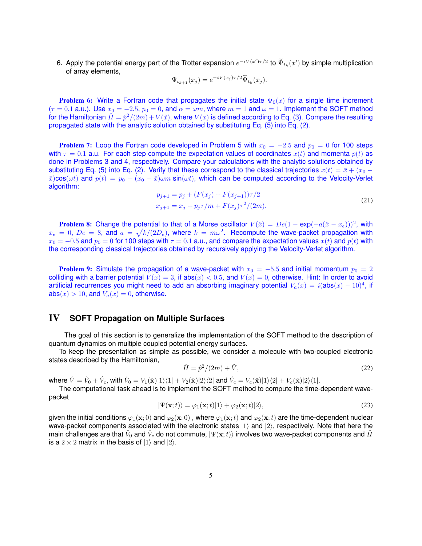6. Apply the potential energy part of the Trotter expansion  $e^{-iV(x')\tau/2}$  to  $\widetilde{\Psi}_{t_k}(x')$  by simple multiplication of array elements,

$$
\Psi_{t_{k+1}}(x_j) = e^{-iV(x_j)\tau/2} \widetilde{\Psi}_{t_k}(x_j).
$$

**Problem 6:** Write a Fortran code that propagates the initial state  $\Psi_0(x)$  for a single time increment  $(\tau = 0.1 \text{ a.u.})$ . Use  $x_0 = -2.5$ ,  $p_0 = 0$ , and  $\alpha = \omega m$ , where  $m = 1$  and  $\omega = 1$ . Implement the SOFT method for the Hamiltonian  $\hat{H}=\hat{p}^2/(2m)+V(\hat{x})$ , where  $V(x)$  is defined according to Eq. (3). Compare the resulting propagated state with the analytic solution obtained by substituting Eq. (5) into Eq. (2).

**Problem 7:** Loop the Fortran code developed in Problem 5 with  $x_0 = -2.5$  and  $p_0 = 0$  for 100 steps with  $\tau = 0.1$  a.u. For each step compute the expectation values of coordinates  $x(t)$  and momenta  $p(t)$  as done in Problems 3 and 4, respectively. Compare your calculations with the analytic solutions obtained by substituting Eq. (5) into Eq. (2). Verify that these correspond to the classical trajectories  $x(t) = \bar{x} + (x_0 \bar{x}$ )cos( $\omega t$ ) and  $p(t) = p_0 - (x_0 - \bar{x})\omega m \sin(\omega t)$ , which can be computed according to the Velocity-Verlet algorithm:  $(F(x)) + F(x-1) = 0$ 

$$
p_{j+1} = p_j + (F(x_j) + F(x_{j+1}))\tau/2
$$
  
\n
$$
x_{j+1} = x_j + p_j \tau/m + F(x_j)\tau^2/(2m).
$$
\n(21)

**Problem 8:** Change the potential to that of a Morse oscillator  $V(\hat{x}) = De(1 - \exp(-a(\hat{x} - x_e)))^2$ , with  $x_e = 0$ ,  $De = 8$ , and  $a = \sqrt{k/(2D_e)}$ , where  $k = m\omega^2$ . Recompute the wave-packet propagation with  $x_0 = -0.5$  and  $p_0 = 0$  for 100 steps with  $\tau = 0.1$  a.u., and compare the expectation values  $x(t)$  and  $p(t)$  with the corresponding classical trajectories obtained by recursively applying the Velocity-Verlet algorithm.

**Problem 9:** Simulate the propagation of a wave-packet with  $x_0 = -5.5$  and initial momentum  $p_0 = 2$ colliding with a barrier potential  $V(x) = 3$ , if  $abs(x) < 0.5$ , and  $V(x) = 0$ , otherwise. Hint: In order to avoid artificial recurrences you might need to add an absorbing imaginary potential  $V_a(x) = i(\text{abs}(x) - 10)^4$ , if  $abs(x) > 10$ , and  $V_a(x) = 0$ , otherwise.

# IV **SOFT Propagation on Multiple Surfaces**

The goal of this section is to generalize the implementation of the SOFT method to the description of quantum dynamics on multiple coupled potential energy surfaces.

To keep the presentation as simple as possible, we consider a molecule with two-coupled electronic states described by the Hamiltonian,

$$
\hat{H} = \hat{p}^2/(2m) + \hat{V},\tag{22}
$$

where  $\hat{V}=\hat{V}_0+\hat{V}_c$ , with  $\hat{V}_0=V_1(\hat{\bf x})|1\rangle\langle 1|+V_2(\hat{\bf x})|2\rangle\langle 2|$  and  $\hat{V}_c=V_c(\hat{\bf x})|1\rangle\langle 2|+V_c(\hat{\bf x})|2\rangle\langle 1|.$ 

The computational task ahead is to implement the SOFT method to compute the time-dependent wavepacket

$$
|\Psi(\mathbf{x};t)\rangle = \varphi_1(\mathbf{x};t)|1\rangle + \varphi_2(\mathbf{x};t)|2\rangle,
$$
\n(23)

given the initial conditions  $\varphi_1(x; 0)$  and  $\varphi_2(x; 0)$ , where  $\varphi_1(x; t)$  and  $\varphi_2(x; t)$  are the time-dependent nuclear wave-packet components associated with the electronic states  $|1\rangle$  and  $|2\rangle$ , respectively. Note that here the main challenges are that  $\hat{V}_0$  and  $\hat{V}_c$  do not commute,  $\ket{\Psi({\bf x};t)}$  involves two wave-packet components and  $\hat{H}$ is a  $2 \times 2$  matrix in the basis of  $|1\rangle$  and  $|2\rangle$ .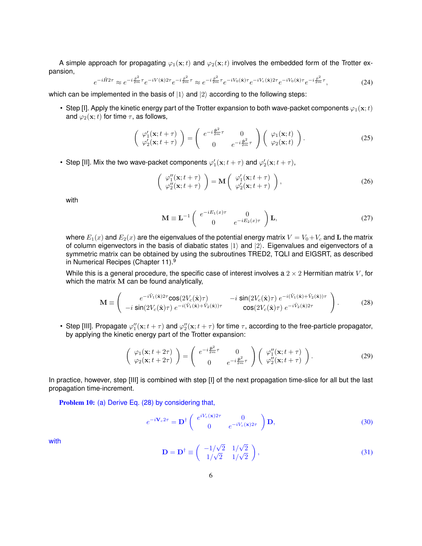A simple approach for propagating  $\varphi_1(x;t)$  and  $\varphi_2(x;t)$  involves the embedded form of the Trotter expansion,

$$
e^{-i\hat{H}2\tau} \approx e^{-i\frac{\hat{p}^2}{2m}\tau}e^{-iV(\hat{\mathbf{x}})2\tau}e^{-i\frac{\hat{p}^2}{2m}\tau} \approx e^{-i\frac{\hat{p}^2}{2m}\tau}e^{-iV_0(\hat{\mathbf{x}})\tau}e^{-iV_c(\hat{\mathbf{x}})2\tau}e^{-iV_0(\hat{\mathbf{x}})\tau}e^{-i\frac{\hat{p}^2}{2m}\tau},\tag{24}
$$

which can be implemented in the basis of  $|1\rangle$  and  $|2\rangle$  according to the following steps:

• Step [I]. Apply the kinetic energy part of the Trotter expansion to both wave-packet components  $\varphi_1(\mathbf{x};t)$ and  $\varphi_2(\mathbf{x};t)$  for time  $\tau$ , as follows,

$$
\begin{pmatrix} \varphi_1'(\mathbf{x}; t + \tau) \\ \varphi_2'(\mathbf{x}; t + \tau) \end{pmatrix} = \begin{pmatrix} e^{-i\frac{\hat{\mathbf{p}}^2}{2m}\tau} & 0 \\ 0 & e^{-i\frac{\hat{\mathbf{p}}^2}{2m}\tau \end{pmatrix} \begin{pmatrix} \varphi_1(\mathbf{x}; t) \\ \varphi_2(\mathbf{x}; t) \end{pmatrix}.
$$
 (25)

• Step [II]. Mix the two wave-packet components  $\varphi_1'(\mathbf{x};t+\tau)$  and  $\varphi_2'(\mathbf{x};t+\tau)$ ,

$$
\begin{pmatrix} \varphi_1''(\mathbf{x}; t + \tau) \\ \varphi_2''(\mathbf{x}; t + \tau) \end{pmatrix} = \mathbf{M} \begin{pmatrix} \varphi_1'(\mathbf{x}; t + \tau) \\ \varphi_2'(\mathbf{x}; t + \tau) \end{pmatrix}, \tag{26}
$$

with

$$
\mathbf{M} \equiv \mathbf{L}^{-1} \begin{pmatrix} e^{-iE_1(x)\tau} & 0\\ 0 & e^{-iE_2(x)\tau} \end{pmatrix} \mathbf{L},
$$
 (27)

where  $E_1(x)$  and  $E_2(x)$  are the eigenvalues of the potential energy matrix  $V = V_0 + V_c$  and L the matrix of column eigenvectors in the basis of diabatic states  $|1\rangle$  and  $|2\rangle$ . Eigenvalues and eigenvectors of a symmetric matrix can be obtained by using the subroutines TRED2, TQLI and EIGSRT, as described in Numerical Recipes (Chapter 11).<sup>9</sup>

While this is a general procedure, the specific case of interest involves a  $2 \times 2$  Hermitian matrix V, for which the matrix M can be found analytically,

$$
\mathbf{M} \equiv \begin{pmatrix} e^{-i\hat{V}_1(\hat{\mathbf{x}})2\tau}\cos(2V_c(\hat{\mathbf{x}})\tau) & -i\sin(2V_c(\hat{\mathbf{x}})\tau) e^{-i(\hat{V}_1(\hat{\mathbf{x}})+\hat{V}_2(\hat{\mathbf{x}}))\tau} \\ -i\sin(2V_c(\hat{\mathbf{x}})\tau) e^{-i(\hat{V}_1(\hat{\mathbf{x}})+\hat{V}_2(\hat{\mathbf{x}}))\tau} & \cos(2V_c(\hat{\mathbf{x}})\tau) e^{-i\hat{V}_2(\hat{\mathbf{x}})2\tau} \end{pmatrix}.
$$
 (28)

• Step [III]. Propagate  $\varphi''_1(\mathbf{x};t+\tau)$  and  $\varphi''_2(\mathbf{x};t+\tau)$  for time  $\tau$ , according to the free-particle propagator, by applying the kinetic energy part of the Trotter expansion:

$$
\begin{pmatrix}\n\varphi_1(\mathbf{x}; t+2\tau) \\
\varphi_2(\mathbf{x}; t+2\tau)\n\end{pmatrix} = \begin{pmatrix}\ne^{-i\frac{\hat{\mathbf{p}}^2}{2m}\tau} & 0 \\
0 & e^{-i\frac{\hat{\mathbf{p}}^2}{2m}\tau}\n\end{pmatrix} \begin{pmatrix}\n\varphi_1''(\mathbf{x}; t+\tau) \\
\varphi_2''(\mathbf{x}; t+\tau)\n\end{pmatrix}.
$$
\n(29)

In practice, however, step [III] is combined with step [I] of the next propagation time-slice for all but the last propagation time-increment.

Problem 10: (a) Derive Eq. (28) by considering that,

$$
e^{-i\mathbf{V}_c 2\tau} = \mathbf{D}^\dagger \begin{pmatrix} e^{iV_c(\mathbf{x})2\tau} & 0\\ 0 & e^{-iV_c(\mathbf{x})2\tau} \end{pmatrix} \mathbf{D},\tag{30}
$$

with

$$
\mathbf{D} = \mathbf{D}^{\dagger} \equiv \begin{pmatrix} -1/\sqrt{2} & 1/\sqrt{2} \\ 1/\sqrt{2} & 1/\sqrt{2} \end{pmatrix},\tag{31}
$$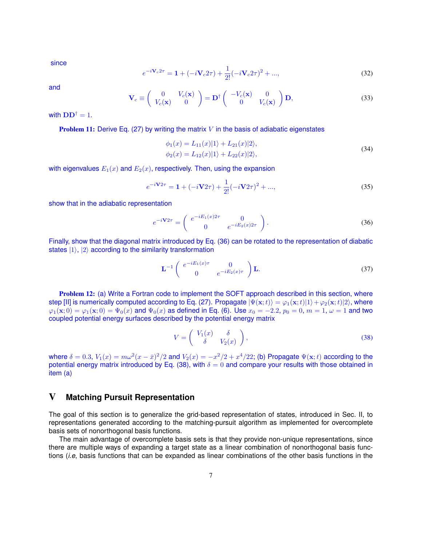since

$$
e^{-i\mathbf{V}_c 2\tau} = \mathbf{1} + (-i\mathbf{V}_c 2\tau) + \frac{1}{2!}(-i\mathbf{V}_c 2\tau)^2 + ...,
$$
 (32)

and

$$
\mathbf{V}_c \equiv \begin{pmatrix} 0 & V_c(\mathbf{x}) \\ V_c(\mathbf{x}) & 0 \end{pmatrix} = \mathbf{D}^\dagger \begin{pmatrix} -V_c(\mathbf{x}) & 0 \\ 0 & V_c(\mathbf{x}) \end{pmatrix} \mathbf{D}, \tag{33}
$$

with  $DD^{\dagger} = 1$ .

**Problem 11:** Derive Eq. (27) by writing the matrix  $V$  in the basis of adiabatic eigenstates

$$
\phi_1(x) = L_{11}(x)|1\rangle + L_{21}(x)|2\rangle, \n\phi_2(x) = L_{12}(x)|1\rangle + L_{22}(x)|2\rangle,
$$
\n(34)

with eigenvalues  $E_1(x)$  and  $E_2(x)$ , respectively. Then, using the expansion

$$
e^{-i\mathbf{V}2\tau} = \mathbf{1} + (-i\mathbf{V}2\tau) + \frac{1}{2!}(-i\mathbf{V}2\tau)^2 + ..., \tag{35}
$$

show that in the adiabatic representation

$$
e^{-i\mathbf{V}2\tau} = \begin{pmatrix} e^{-iE_1(x)2\tau} & 0\\ 0 & e^{-iE_2(x)2\tau} \end{pmatrix}.
$$
 (36)

Finally, show that the diagonal matrix introduced by Eq. (36) can be rotated to the representation of diabatic states  $|1\rangle$ ,  $|2\rangle$  according to the similarity transformation

$$
\mathbf{L}^{-1} \begin{pmatrix} e^{-iE_1(x)\tau} & 0\\ 0 & e^{-iE_2(x)\tau} \end{pmatrix} \mathbf{L}.
$$
 (37)

Problem 12: (a) Write a Fortran code to implement the SOFT approach described in this section, where step [II] is numerically computed according to Eq. (27). Propagate  $|\Psi(\mathbf{x};t)\rangle = \varphi_1(\mathbf{x};t)|1\rangle + \varphi_2(\mathbf{x};t)|2\rangle$ , where  $\varphi_1({\bf x};0) = \varphi_1({\bf x};0) = \Psi_0(x)$  and  $\Psi_0(x)$  as defined in Eq. (6). Use  $x_0 = -2.2$ ,  $p_0 = 0$ ,  $m = 1$ ,  $\omega = 1$  and two coupled potential energy surfaces described by the potential energy matrix

$$
V = \begin{pmatrix} V_1(x) & \delta \\ \delta & V_2(x) \end{pmatrix},\tag{38}
$$

where  $\delta=0.3, V_1(x)=m\omega^2(x-\bar{x})^2/2$  and  $V_2(x)=-x^2/2+x^4/22$ ; (b) Propagate  $\Psi({\bf x};t)$  according to the potential energy matrix introduced by Eq. (38), with  $\delta = 0$  and compare your results with those obtained in item (a)

#### V **Matching Pursuit Representation**

The goal of this section is to generalize the grid-based representation of states, introduced in Sec. II, to representations generated according to the matching-pursuit algorithm as implemented for overcomplete basis sets of nonorthogonal basis functions.

The main advantage of overcomplete basis sets is that they provide non-unique representations, since there are multiple ways of expanding a target state as a linear combination of nonorthogonal basis functions (*i.e*, basis functions that can be expanded as linear combinations of the other basis functions in the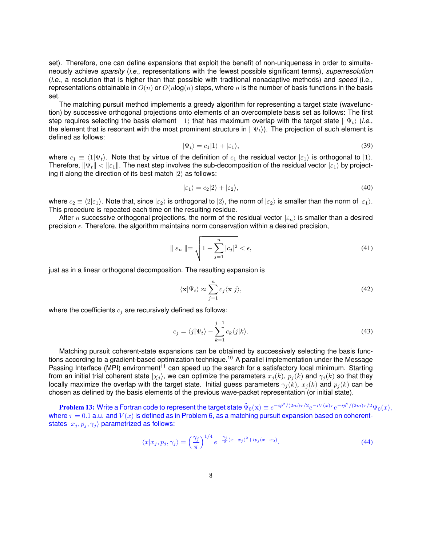set). Therefore, one can define expansions that exploit the benefit of non-uniqueness in order to simultaneously achieve *sparsity* (*i.e.*, representations with the fewest possible significant terms), *superresolution* (*i.e.*, a resolution that is higher than that possible with traditional nonadaptive methods) and *speed* (i.e., representations obtainable in  $O(n)$  or  $O(n \log(n)$  steps, where n is the number of basis functions in the basis set.

The matching pursuit method implements a greedy algorithm for representing a target state (wavefunction) by successive orthogonal projections onto elements of an overcomplete basis set as follows: The first step requires selecting the basis element | 1} that has maximum overlap with the target state  $|\Psi_t\rangle$  (*i.e.*, the element that is resonant with the most prominent structure in  $|\Psi_t\rangle$ . The projection of such element is defined as follows:

$$
|\Psi_t\rangle = c_1|1\rangle + |\varepsilon_1\rangle,\tag{39}
$$

where  $c_1 \equiv \langle 1|\Psi_t \rangle$ . Note that by virtue of the definition of  $c_1$  the residual vector  $|\varepsilon_1\rangle$  is orthogonal to  $|1\rangle$ . Therefore,  $\|\Psi_t\| < \|\varepsilon_1\|$ . The next step involves the sub-decomposition of the residual vector  $|\varepsilon_1\rangle$  by projecting it along the direction of its best match  $|2\rangle$  as follows:

$$
|\varepsilon_1\rangle = c_2|2\rangle + |\varepsilon_2\rangle,\tag{40}
$$

where  $c_2 \equiv \langle 2|\varepsilon_1\rangle$ . Note that, since  $|\varepsilon_2\rangle$  is orthogonal to  $|2\rangle$ , the norm of  $|\varepsilon_2\rangle$  is smaller than the norm of  $|\varepsilon_1\rangle$ . This procedure is repeated each time on the resulting residue.

After n successive orthogonal projections, the norm of the residual vector  $|\varepsilon_n\rangle$  is smaller than a desired precision  $\epsilon$ . Therefore, the algorithm maintains norm conservation within a desired precision,

$$
\parallel \varepsilon_n \parallel = \sqrt{1 - \sum_{j=1}^n |c_j|^2} < \epsilon,\tag{41}
$$

just as in a linear orthogonal decomposition. The resulting expansion is

$$
\langle \mathbf{x} | \Psi_t \rangle \approx \sum_{j=1}^n c_j \langle \mathbf{x} | j \rangle,
$$
\n(42)

where the coefficients  $c_i$  are recursively defined as follows:

$$
c_j = \langle j | \Psi_t \rangle - \sum_{k=1}^{j-1} c_k \langle j | k \rangle.
$$
 (43)

Matching pursuit coherent-state expansions can be obtained by successively selecting the basis functions according to a gradient-based optimization technique.<sup>10</sup> A parallel implementation under the Message Passing Interface (MPI) environment<sup>11</sup> can speed up the search for a satisfactory local minimum. Starting from an initial trial coherent state  $|\chi_i\rangle$ , we can optimize the parameters  $x_j (k)$ ,  $p_j (k)$  and  $\gamma_j (k)$  so that they locally maximize the overlap with the target state. Initial guess parameters  $\gamma_i(k)$ ,  $x_i(k)$  and  $p_i(k)$  can be chosen as defined by the basis elements of the previous wave-packet representation (or initial state).

**Problem 13:** Write a Fortran code to represent the target state  $\tilde{\Psi}_0(\mathbf{x}) \equiv e^{-i\hat{p}^2/(2m)\tau/2} e^{-iV(x)\tau} e^{-i\hat{p}^2/(2m)\tau/2} \Psi_0(x)$ , where  $\tau = 0.1$  a.u. and  $V(x)$  is defined as in Problem 6, as a matching pursuit expansion based on coherentstates  $|x_i, p_i, \gamma_i\rangle$  parametrized as follows:

$$
\langle x|x_j, p_j, \gamma_j \rangle = \left(\frac{\gamma_j}{\pi}\right)^{1/4} e^{-\frac{\gamma_j}{2}(x-x_j)^2 + ip_j(x-x_0)}.
$$
\n
$$
(44)
$$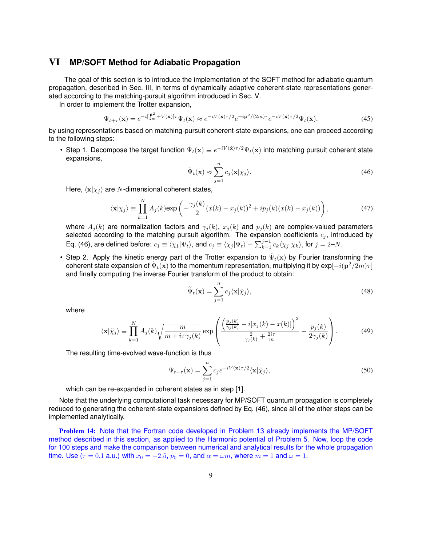# VI **MP/SOFT Method for Adiabatic Propagation**

The goal of this section is to introduce the implementation of the SOFT method for adiabatic quantum propagation, described in Sec. III, in terms of dynamically adaptive coherent-state representations generated according to the matching-pursuit algorithm introduced in Sec. V.

In order to implement the Trotter expansion,

$$
\Psi_{t+\tau}(\mathbf{x}) = e^{-i\left[\frac{\hat{\mathbf{p}}^2}{2m} + V(\hat{\mathbf{x}})\right]\tau} \Psi_t(\mathbf{x}) \approx e^{-iV(\hat{\mathbf{x}})\tau/2} e^{-i\hat{\mathbf{p}}^2/(2m)\tau} e^{-iV(\hat{\mathbf{x}})\tau/2} \Psi_t(\mathbf{x}),\tag{45}
$$

by using representations based on matching-pursuit coherent-state expansions, one can proceed according to the following steps:

• Step 1. Decompose the target function  $\tilde{\Psi}_t(\mathbf{x}) \equiv e^{-iV(\hat{\mathbf{x}})\tau/2}\Psi_t(\mathbf{x})$  into matching pursuit coherent state expansions,

$$
\tilde{\Psi}_t(\mathbf{x}) \approx \sum_{j=1}^n c_j \langle \mathbf{x} | \chi_j \rangle.
$$
\n(46)

Here,  $\langle \mathbf{x} | \chi_j \rangle$  are N-dimensional coherent states,

$$
\langle \mathbf{x} | \chi_j \rangle \equiv \prod_{k=1}^N A_j(k) \exp\left(-\frac{\gamma_j(k)}{2} (x(k) - x_j(k))^2 + ip_j(k)(x(k) - x_j(k))\right),\tag{47}
$$

where  $A_j(k)$  are normalization factors and  $\gamma_j(k)$ ,  $x_j(k)$  and  $p_j(k)$  are complex-valued parameters selected according to the matching pursuit algorithm. The expansion coefficients  $c_j$ , introduced by Eq. (46), are defined before:  $c_1\equiv \langle \chi_1|\Psi_t\rangle$ , and  $c_j\equiv \langle \chi_j|\Psi_t\rangle-\sum_{k=1}^{j-1}c_k\langle \chi_j|\chi_k\rangle,$  for  $j=2-N.$ 

• Step 2. Apply the kinetic energy part of the Trotter expansion to  $\tilde{\Psi}_t(\mathbf{x})$  by Fourier transforming the coherent state expansion of  $\tilde{\Psi}_t(\mathbf{x})$  to the momentum representation, multiplying it by exp $[-i(\mathbf{p}^2/2m)\tau]$ and finally computing the inverse Fourier transform of the product to obtain:

$$
\widetilde{\Psi}_t(\mathbf{x}) = \sum_{j=1}^n c_j \langle \mathbf{x} | \widetilde{\chi}_j \rangle,\tag{48}
$$

where

$$
\langle \mathbf{x} | \tilde{\chi}_j \rangle \equiv \prod_{k=1}^N A_j(k) \sqrt{\frac{m}{m + i\tau \gamma_j(k)}} \exp\left(\frac{\left(\frac{p_j(k)}{\gamma_j(k)} - i[x_j(k) - x(k)]\right)^2}{\frac{2}{\gamma_j(k)} + \frac{2i\tau}{m}} - \frac{p_j(k)}{2\gamma_j(k)}\right). \tag{49}
$$

The resulting time-evolved wave-function is thus

$$
\Psi_{t+\tau}(\mathbf{x}) = \sum_{j=1}^{n} c_j e^{-iV(\mathbf{x})\tau/2} \langle \mathbf{x} | \tilde{\chi}_j \rangle,
$$
\n(50)

which can be re-expanded in coherent states as in step [1].

Note that the underlying computational task necessary for MP/SOFT quantum propagation is completely reduced to generating the coherent-state expansions defined by Eq. (46), since all of the other steps can be implemented analytically.

Problem 14: Note that the Fortran code developed in Problem 13 already implements the MP/SOFT method described in this section, as applied to the Harmonic potential of Problem 5. Now, loop the code for 100 steps and make the comparison between numerical and analytical results for the whole propagation time. Use ( $\tau = 0.1$  a.u.) with  $x_0 = -2.5$ ,  $p_0 = 0$ , and  $\alpha = \omega m$ , where  $m = 1$  and  $\omega = 1$ .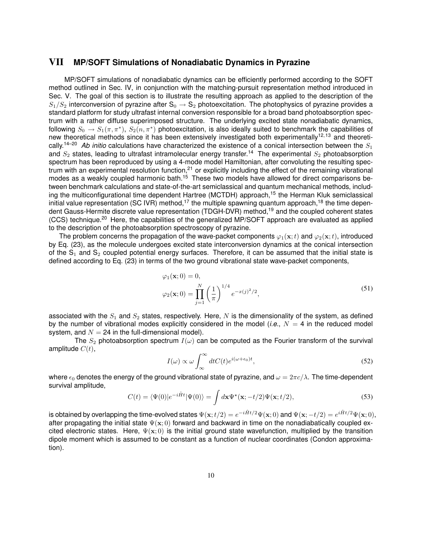# VII **MP/SOFT Simulations of Nonadiabatic Dynamics in Pyrazine**

MP/SOFT simulations of nonadiabatic dynamics can be efficiently performed according to the SOFT method outlined in Sec. IV, in conjunction with the matching-pursuit representation method introduced in Sec. V. The goal of this section is to illustrate the resulting approach as applied to the description of the  $S_1/S_2$  interconversion of pyrazine after  $S_0 \rightarrow S_2$  photoexcitation. The photophysics of pyrazine provides a standard platform for study ultrafast internal conversion responsible for a broad band photoabsorption spectrum with a rather diffuse superimposed structure. The underlying excited state nonadiabatic dynamics, following  $S_0\to S_1(\pi,\pi^*),\,S_2(n,\pi^*)$  photoexcitation, is also ideally suited to benchmark the capabilities of new theoretical methods since it has been extensively investigated both experimentally<sup>12, 13</sup> and theoretically.<sup>14–20</sup> *Ab initio* calculations have characterized the existence of a conical intersection between the  $S_1$ and  $S_2$  states, leading to ultrafast intramolecular energy transfer.<sup>14</sup> The experimental  $S_2$  photoabsorption spectrum has been reproduced by using a 4-mode model Hamiltonian, after convoluting the resulting spectrum with an experimental resolution function,<sup>21</sup> or explicitly including the effect of the remaining vibrational modes as a weakly coupled harmonic bath.<sup>15</sup> These two models have allowed for direct comparisons between benchmark calculations and state-of-the-art semiclassical and quantum mechanical methods, including the multiconfigurational time dependent Hartree (MCTDH) approach,<sup>15</sup> the Herman Kluk semiclassical initial value representation (SC IVR) method,<sup>17</sup> the multiple spawning quantum approach,<sup>18</sup> the time dependent Gauss-Hermite discrete value representation (TDGH-DVR) method,<sup>19</sup> and the coupled coherent states (CCS) technique.<sup>20</sup> Here, the capabilities of the generalized MP/SOFT approach are evaluated as applied to the description of the photoabsorption spectroscopy of pyrazine.

The problem concerns the propagation of the wave-packet components  $\varphi_1(x;t)$  and  $\varphi_2(x;t)$ , introduced by Eq. (23), as the molecule undergoes excited state interconversion dynamics at the conical intersection of the  $S_1$  and  $S_2$  coupled potential energy surfaces. Therefore, it can be assumed that the initial state is defined according to Eq. (23) in terms of the two ground vibrational state wave-packet components,

$$
\varphi_1(\mathbf{x};0) = 0,\n\varphi_2(\mathbf{x};0) = \prod_{j=1}^N \left(\frac{1}{\pi}\right)^{1/4} e^{-x(j)^2/2},
$$
\n(51)

associated with the  $S_1$  and  $S_2$  states, respectively. Here, N is the dimensionality of the system, as defined by the number of vibrational modes explicitly considered in the model  $(i.e., N = 4$  in the reduced model system, and  $N = 24$  in the full-dimensional model).

The  $S_2$  photoabsorption spectrum  $I(\omega)$  can be computed as the Fourier transform of the survival amplitude  $C(t)$ ,

$$
I(\omega) \propto \omega \int_{\infty}^{\infty} dt C(t) e^{i(\omega + \epsilon_0)t}, \tag{52}
$$

where  $\epsilon_0$  denotes the energy of the ground vibrational state of pyrazine, and  $\omega = 2\pi c/\lambda$ . The time-dependent survival amplitude,

$$
C(t) = \langle \Psi(0)|e^{-i\hat{H}t}|\Psi(0)\rangle = \int d\mathbf{x}\Psi^{\star}(\mathbf{x}; -t/2)\Psi(\mathbf{x}; t/2),
$$
\n(53)

is obtained by overlapping the time-evolved states  $\Psi({\bf x};t/2)=e^{-i\hat{H}t/2}\Psi({\bf x};0)$  and  $\Psi({\bf x};-t/2)=e^{i\hat{H}t/2}\Psi({\bf x};0),$ after propagating the initial state  $\Psi(\mathbf{x};0)$  forward and backward in time on the nonadiabatically coupled excited electronic states. Here,  $\Psi(\mathbf{x};0)$  is the initial ground state wavefunction, multiplied by the transition dipole moment which is assumed to be constant as a function of nuclear coordinates (Condon approximation).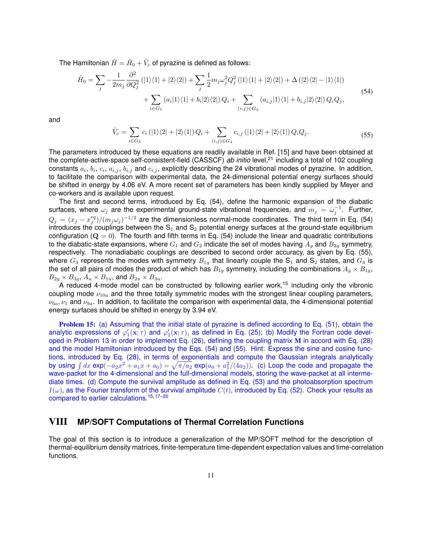The Hamiltonian  $\hat{H}=\hat{H}_0+\hat{V}_c$  of pyrazine is defined as follows:

$$
\hat{H}_0 = \sum_j -\frac{1}{2m_j} \frac{\partial^2}{\partial Q_j^2} \left( |1\rangle\langle 1| + |2\rangle\langle 2| \right) + \sum_j \frac{1}{2} m_j \omega_j^2 Q_j^2 \left( |1\rangle\langle 1| + |2\rangle\langle 2| \right) + \Delta \left( |2\rangle\langle 2| - |1\rangle\langle 1| \right) + \sum_{i \in G_1} (a_i |1\rangle\langle 1| + b_i |2\rangle\langle 2|) Q_i + \sum_{(i,j) \in G_2} (a_{i,j} |1\rangle\langle 1| + b_{i,j} |2\rangle\langle 2|) Q_i Q_j,
$$
\n
$$
(54)
$$

and

$$
\hat{V}_c = \sum_{i \in G_3} c_i \left( |1\rangle\langle 2| + |2\rangle\langle 1| \right) Q_i + \sum_{(i,j) \in G_4} c_{i,j} \left( |1\rangle\langle 2| + |2\rangle\langle 1| \right) Q_i Q_j. \tag{55}
$$

The parameters introduced by these equations are readily available in Ref. [15] and have been obtained at the complete-active-space self-consistent-field (CASSCF) *ab initio* level,<sup>21</sup> including a total of 102 coupling constants  $a_i$ ,  $b_i$ ,  $c_i$ ,  $a_{i,j}$ ,  $b_{i,j}$  and  $c_{i,j}$ , explicitly describing the 24 vibrational modes of pyrazine. In addition, to facilitate the comparison with experimental data, the 24-dimensional potential energy surfaces should be shifted in energy by 4.06 eV. A more recent set of parameters has been kindly supplied by Meyer and co-workers and is available upon request.

The first and second terms, introduced by Eq. (54), define the harmonic expansion of the diabatic surfaces, where  $\omega_j$  are the experimental ground-state vibrational frequencies, and  $m_j = \omega_j^{-1}$ . Further,  $Q_j = (x_j - x_j^{eq})/(m_j \omega_j)^{-1/2}$  are the dimensionless normal-mode coordinates. The third term in Eq. (54) introduces the couplings between the S<sub>1</sub> and S<sub>2</sub> potential energy surfaces at the ground-state equilibrium configuration ( $Q = 0$ ). The fourth and fifth terms in Eq. (54) include the linear and quadratic contributions to the diabatic-state expansions, where  $G_1$  and  $G_2$  indicate the set of modes having  $A_g$  and  $B_{2g}$  symmetry, respectively. The nonadiabatic couplings are described to second order accuracy, as given by Eq. (55), where  $G_3$  represents the modes with symmetry  $B_{1g}$  that linearly couple the S<sub>1</sub> and S<sub>2</sub> states, and  $G_4$  is the set of all pairs of modes the product of which has  $B_{1g}$  symmetry, including the combinations  $A_g \times B_{1g}$ ,  $B_{2q} \times B_{3q}$ ,  $A_u \times B_{1u}$ , and  $B_{2u} \times B_{3u}$ .

A reduced 4-mode model can be constructed by following earlier work,<sup>15</sup> including only the vibronic coupling mode  $\nu_{10a}$  and the three totally symmetric modes with the strongest linear coupling parameters,  $\nu_{6a}$ ,  $\nu_1$  and  $\nu_{9a}$ . In addition, to facilitate the comparison with experimental data, the 4-dimensional potential energy surfaces should be shifted in energy by 3.94 eV.

Problem 15: (a) Assuming that the initial state of pyrazine is defined according to Eq. (51), obtain the analytic expressions of  $\varphi_1'(\mathbf{x}; \tau)$  and  $\varphi_2'(\mathbf{x}; \tau)$ , as defined in Eq. (25); (b) Modify the Fortran code developed in Problem 13 in order to implement Eq. (26), defining the coupling matrix M in accord with Eq. (28) and the model Hamiltonian introduced by the Eqs. (54) and (55). Hint: Express the sine and cosine functions, introduced by Eq. (28), in terms of exponentials and compute the Gaussian integrals analytically by using  $\int dx \exp(-a_2x^2 + a_1x + a_0) = \sqrt{\pi/a_2} \exp(a_0 + a_1^2/(4a_2))$ . (c) Loop the code and propagate the wave-packet for the 4-dimensional and the full-dimensional models, storing the wave-packet at all intermediate times. (d) Compute the survival amplitude as defined in Eq. (53) and the photoabsorption spectrum  $I(\omega)$ , as the Fourier transform of the survival amplitude  $C(t)$ , introduced by Eq. (52). Check your results as compared to earlier calculations.<sup>15, 17-20</sup>

# VIII **MP/SOFT Computations of Thermal Correlation Functions**

The goal of this section is to introduce a generalization of the MP/SOFT method for the description of thermal-equilibrium density matrices, finite-temperature time-dependent expectation values and time-correlation functions.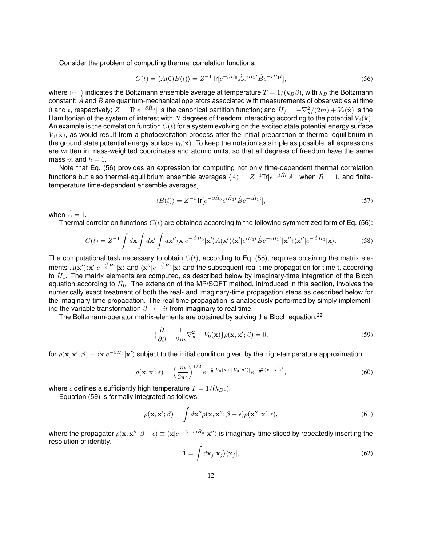Consider the problem of computing thermal correlation functions,

$$
C(t) = \langle A(0)B(t) \rangle = Z^{-1} \text{Tr} [e^{-\beta \hat{H}_0} \hat{A} e^{i \hat{H}_1 t} \hat{B} e^{-i \hat{H}_1 t}], \qquad (56)
$$

where  $\langle \cdots \rangle$  indicates the Boltzmann ensemble average at temperature  $T = 1/(k_B\beta)$ , with  $k_B$  the Boltzmann constant;  $\hat{A}$  and  $\hat{B}$  are quantum-mechanical operators associated with measurements of observables at time 0 and t, respectively;  $Z=$  Tr $[e^{-\beta \hat H_0}]$  is the canonical partition function; and  $\hat H_j=-\nabla_{\bf x}^2/(2m)+V_j(\hat{\bf x})$  is the Hamiltonian of the system of interest with N degrees of freedom interacting according to the potential  $V_i(\hat{\mathbf{x}})$ . An example is the correlation function  $C(t)$  for a system evolving on the excited state potential energy surface  $V_1(\hat{\mathbf{x}})$ , as would result from a photoexcitation process after the initial preparation at thermal-equilibrium in the ground state potential energy surface  $V_0(\hat{\mathbf{x}})$ . To keep the notation as simple as possible, all expressions are written in mass-weighted coordinates and atomic units, so that all degrees of freedom have the same mass m and  $\hbar = 1$ .

Note that Eq. (56) provides an expression for computing not only time-dependent thermal correlation functions but also thermal-equilibrium ensemble averages  $\langle A \rangle = Z^{-1}$ Tr $[e^{-\beta \hat{H}_0}\hat{A}]$ , when  $\hat{B}=1$ , and finitetemperature time-dependent ensemble averages,

$$
\langle B(t) \rangle = Z^{-1} \text{Tr} [e^{-\beta \hat{H}_0} e^{i\hat{H}_1 t} \hat{B} e^{-i\hat{H}_1 t}], \qquad (57)
$$

when  $\hat{A}=1$ .

Thermal correlation functions  $C(t)$  are obtained according to the following symmetrized form of Eq. (56):

$$
C(t) = Z^{-1} \int d\mathbf{x} \int d\mathbf{x}' \int d\mathbf{x}'' \langle \mathbf{x} | e^{-\frac{\beta}{2}\hat{H}_0} | \mathbf{x}' \rangle A(\mathbf{x}') \langle \mathbf{x}' | e^{i\hat{H}_1 t} \hat{B} e^{-i\hat{H}_1 t} | \mathbf{x}'' \rangle \langle \mathbf{x}'' | e^{-\frac{\beta}{2}\hat{H}_0} | \mathbf{x} \rangle.
$$
 (58)

The computational task necessary to obtain  $C(t)$ , according to Eq. (58), requires obtaining the matrix elements  $A(x')\langle x'|e^{-\frac{\beta}{2}\hat{H}_0}|x\rangle$  and  $\langle x''|e^{-\frac{\beta}{2}\hat{H}_0}|x\rangle$  and the subsequent real-time propagation for time t, according to  $\hat{H}_1$ . The matrix elements are computed, as described below by imaginary-time integration of the Bloch equation according to  $\hat{H}_0$ . The extension of the MP/SOFT method, introduced in this section, involves the numerically exact treatment of both the real- and imaginary-time propagation steps as described below for the imaginary-time propagation. The real-time propagation is analogously performed by simply implementing the variable transformation  $\beta \rightarrow -it$  from imaginary to real time.

The Boltzmann-operator matrix-elements are obtained by solving the Bloch equation,<sup>22</sup>

$$
\{\frac{\partial}{\partial \beta} - \frac{1}{2m} \nabla_{\mathbf{x}}^2 + V_0(\mathbf{x})\} \rho(\mathbf{x}, \mathbf{x}'; \beta) = 0,\tag{59}
$$

for  $\rho(\mathbf{x},\mathbf{x}';\beta)\equiv\langle\mathbf{x}|e^{-\beta\hat{H}_0}|\mathbf{x}'\rangle$  subject to the initial condition given by the high-temperature approximation,

$$
\rho(\mathbf{x}, \mathbf{x}'; \epsilon) = \left(\frac{m}{2\pi\epsilon}\right)^{1/2} e^{-\frac{\epsilon}{2}[V_0(\mathbf{x}) + V_0(\mathbf{x}')] } e^{-\frac{m}{2\epsilon}(\mathbf{x} - \mathbf{x}')^2},\tag{60}
$$

where  $\epsilon$  defines a sufficiently high temperature  $T = 1/(k_B \epsilon)$ .

Equation (59) is formally integrated as follows,

$$
\rho(\mathbf{x}, \mathbf{x}'; \beta) = \int d\mathbf{x}'' \rho(\mathbf{x}, \mathbf{x}''; \beta - \epsilon) \rho(\mathbf{x}'', \mathbf{x}'; \epsilon), \tag{61}
$$

where the propagator  $\rho({\bf x},{\bf x}'';\beta-\epsilon)\equiv\langle{\bf x}|e^{-(\beta-\epsilon)\hat H_0}|{\bf x}''\rangle$  is imaginary-time sliced by repeatedly inserting the resolution of identity,

$$
\hat{\mathbf{1}} = \int d\mathbf{x}_j |\mathbf{x}_j\rangle\langle\mathbf{x}_j|,\tag{62}
$$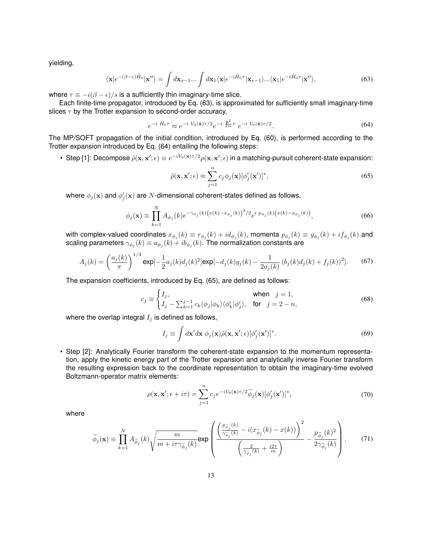yielding,

$$
\langle \mathbf{x} | e^{-(\beta - \epsilon)\hat{H}_0} | \mathbf{x}'' \rangle = \int d\mathbf{x}_{s-1} \dots \int d\mathbf{x}_1 \langle \mathbf{x} | e^{-i\hat{H}_0 \tau} | \mathbf{x}_{s-1} \rangle \dots \langle \mathbf{x}_1 | e^{-i\hat{H}_0 \tau} | \mathbf{x}'' \rangle, \tag{63}
$$

where  $\tau \equiv -i(\beta - \epsilon)/s$  is a sufficiently thin imaginary-time slice.

Each finite-time propagator, introduced by Eq. (63), is approximated for sufficiently small imaginary-time slices  $\tau$  by the Trotter expansion to second-order accuracy,

$$
e^{-i\hat{H}_0\tau} \approx e^{-i\;V_0(\hat{\mathbf{x}})\tau/2} e^{-i\;\frac{\hat{\mathbf{p}}^2}{2m}\tau} \; e^{-i\;V_0(\hat{\mathbf{x}})\tau/2}.\tag{64}
$$

The MP/SOFT propagation of the initial condition, introduced by Eq. (60), is performed according to the Trotter expansion introduced by Eq. (64) entailing the following steps:

• Step [1]: Decompose  $\tilde{\rho}(\mathbf{x},\mathbf{x}';\epsilon)\equiv e^{-iV_0(\mathbf{x})\tau/2}\rho(\mathbf{x},\mathbf{x}';\epsilon)$  in a matching-pursuit coherent-state expansion:

$$
\tilde{\rho}(\mathbf{x}, \mathbf{x}'; \epsilon) \approx \sum_{j=1}^{n} c_j \phi_j(\mathbf{x}) [\phi'_j(\mathbf{x}')]^*,
$$
\n(65)

where  $\phi_j({\bf x})$  and  $\phi'_j({\bf x})$  are  $N$ -dimensional coherent-states defined as follows,

$$
\phi_j(\mathbf{x}) \equiv \prod_{k=1}^N A_{\phi_j}(k) e^{-\gamma_{\phi_j}(k) \left(x(k) - x_{\phi_j}(k)\right)^2/2} e^{i \, p_{\phi_j}(k) \left(x(k) - x_{\phi_j}(k)\right)},\tag{66}
$$

with complex-valued coordinates  $x_{\phi_j}(k)\equiv r_{\phi_j}(k)+id_{\phi_j}(k)$ , momenta  $p_{\phi_j}(k)\equiv g_{\phi_j}(k)+if_{\phi_j}(k)$  and scaling parameters  $\gamma_{\phi_j}(k)\equiv a_{\phi_j}(k)+ib_{\phi_j}(k).$  The normalization constants are

$$
A_j(k) = \left(\frac{a_j(k)}{\pi}\right)^{1/4} \exp[-\frac{1}{2}a_j(k)d_j(k)^2] \exp[-d_j(k)g_j(k) - \frac{1}{2a_j(k)}(b_j(k)d_j(k) + f_j(k))^2].
$$
 (67)

The expansion coefficients, introduced by Eq. (65), are defined as follows:

$$
c_j \equiv \begin{cases} I_j, & \text{when } j = 1, \\ I_j - \sum_{k=1}^{j-1} c_k \langle \phi_j | \phi_k \rangle \langle \phi'_k | \phi'_j \rangle, & \text{for } j = 2 - n, \end{cases} \tag{68}
$$

where the overlap integral  $I_j$  is defined as follows,

$$
I_j \equiv \int d\mathbf{x}' d\mathbf{x} \; \phi_j(\mathbf{x}) \tilde{\rho}(\mathbf{x}, \mathbf{x}'; \epsilon) [\phi'_j(\mathbf{x}')]^*.
$$
 (69)

• Step [2]: Analytically Fourier transform the coherent-state expansion to the momentum representation, apply the kinetic energy part of the Trotter expansion and analytically inverse Fourier transform the resulting expression back to the coordinate representation to obtain the imaginary-time evolved Boltzmann-operator matrix elements:

$$
\rho(\mathbf{x}, \mathbf{x}'; \epsilon + i\tau) = \sum_{j=1}^{n} c_j e^{-iV_0(\mathbf{x})\tau/2} \widetilde{\phi}_j(\mathbf{x}) [\phi_j'(\mathbf{x}')]^*,
$$
\n(70)

where

$$
\widetilde{\phi}_j(\mathbf{x}) \equiv \prod_{k=1}^N A_{\widetilde{\phi}_j}(k) \sqrt{\frac{m}{m + i\tau \gamma_{\widetilde{\phi}_j}(k)}} \exp\left(\frac{\left(\frac{p_{\widetilde{\phi}_j}(k)}{\gamma_{\widetilde{\phi}_j}(k)} - i(x_{\widetilde{\phi}_j}(k) - x(k))\right)^2}{\left(\frac{2}{\gamma_{\widetilde{\phi}_j}(k)} + \frac{i2\tau}{m}\right)} - \frac{p_{\widetilde{\phi}_j}(k)^2}{2\gamma_{\widetilde{\phi}_j}(k)}\right).
$$
(71)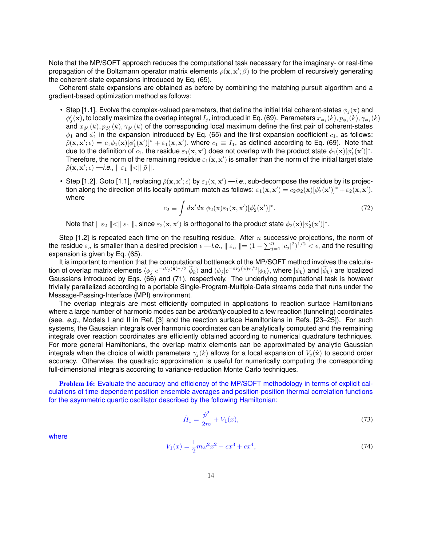Note that the MP/SOFT approach reduces the computational task necessary for the imaginary- or real-time propagation of the Boltzmann operator matrix elements  $\rho(\mathbf{x},\mathbf{x}';\beta)$  to the problem of recursively generating the coherent-state expansions introduced by Eq. (65).

Coherent-state expansions are obtained as before by combining the matching pursuit algorithm and a gradient-based optimization method as follows:

- Step [1.1]. Evolve the complex-valued parameters, that define the initial trial coherent-states  $\phi_j({\bf x})$  and  $\phi'_j({\bf x})$ , to locally maximize the overlap integral  $I_j$ , introduced in Eq. (69). Parameters  $x_{\phi_1}(k),p_{\phi_1}(k),\gamma_{\phi_1}(k)$ and  $x_{\phi_1'}(k), p_{\phi_1'}(k), \gamma_{\phi_1'}(k)$  of the corresponding local maximum define the first pair of coherent-states  $\phi_1$  and  $\phi'_1$  in the expansion introduced by Eq. (65) and the first expansion coefficient  $c_1$ , as follows:  $\tilde\rho({\bf x},{\bf x}';\epsilon)=c_1\phi_1({\bf x})[\phi_1'({\bf x}')]^*+\varepsilon_1({\bf x},{\bf x}'),$  where  $c_1\equiv I_1,$  as defined according to Eq. (69). Note that due to the definition of  $c_1$ , the residue  $\varepsilon_1({\bf x},{\bf x}')$  does not overlap with the product state  $\phi_1({\bf x})[\phi_1'({\bf x}')]^*.$ Therefore, the norm of the remaining residue  $\varepsilon_1({\bf x},{\bf x}')$  is smaller than the norm of the initial target state  $\tilde{\rho}(\mathbf{x}, \mathbf{x}'; \epsilon)$  —i.e.,  $\|\epsilon_1\|$ < $\|\tilde{\rho}\|$ .
- Step [1.2]. Goto [1.1], replacing  $\tilde{\rho}(\mathbf{x},\mathbf{x}';\epsilon)$  by  $\varepsilon_1(\mathbf{x},\mathbf{x}')$  -*i.e.*, sub-decompose the residue by its projection along the direction of its locally optimum match as follows:  $\varepsilon_1(x,x')=c_2\phi_2(x)[\phi_2'(x')]^*+\varepsilon_2(x,x'),$ where

$$
c_2 \equiv \int d\mathbf{x}' d\mathbf{x} \; \phi_2(\mathbf{x}) \varepsilon_1(\mathbf{x}, \mathbf{x}') [\phi'_2(\mathbf{x}')]^*.
$$
 (72)

Note that  $\| \varepsilon_2 \| < \! \| \varepsilon_1 \|$ , since  $\varepsilon_2({\bf x},{\bf x}')$  is orthogonal to the product state  $\phi_2({\bf x})[\phi_2'({\bf x}')]^*.$ 

Step [1.2] is repeated each time on the resulting residue. After  $n$  successive projections, the norm of the residue  $\varepsilon_n$  is smaller than a desired precision  $\epsilon$  —*i.e.*,  $\| \varepsilon_n \|=(1-\sum_{j=1}^n |c_j|^2)^{1/2}<\epsilon$ , and the resulting expansion is given by Eq. (65).

It is important to mention that the computational bottleneck of the MP/SOFT method involves the calculation of overlap matrix elements  $\langle \phi_j | e^{-iV_j(\hat{\mathbf{x}})\tau/2} | \phi_k \rangle$  and  $\langle \phi_j | e^{-iV_j(\hat{\mathbf{x}})\tau/2} | \phi_k \rangle$ , where  $| \phi_k \rangle$  and  $| \phi_k \rangle$  are localized Gaussians introduced by Eqs. (66) and (71), respectively. The underlying computational task is however trivially parallelized according to a portable Single-Program-Multiple-Data streams code that runs under the Message-Passing-Interface (MPI) environment.

The overlap integrals are most efficiently computed in applications to reaction surface Hamiltonians where a large number of harmonic modes can be *arbitrarily* coupled to a few reaction (tunneling) coordinates (see, *e.g.*, Models I and II in Ref. [3] and the reaction surface Hamiltonians in Refs. [23–25]). For such systems, the Gaussian integrals over harmonic coordinates can be analytically computed and the remaining integrals over reaction coordinates are efficiently obtained according to numerical quadrature techniques. For more general Hamiltonians, the overlap matrix elements can be approximated by analytic Gaussian integrals when the choice of width parameters  $\gamma_i(k)$  allows for a local expansion of  $V_i(\hat{\mathbf{x}})$  to second order accuracy. Otherwise, the quadratic approximation is useful for numerically computing the corresponding full-dimensional integrals according to variance-reduction Monte Carlo techniques.

Problem 16: Evaluate the accuracy and efficiency of the MP/SOFT methodology in terms of explicit calculations of time-dependent position ensemble averages and position-position thermal correlation functions for the asymmetric quartic oscillator described by the following Hamiltonian:

$$
\hat{H}_1 = \frac{\hat{p}^2}{2m} + V_1(x),\tag{73}
$$

where

$$
V_1(x) = \frac{1}{2}m\omega^2 x^2 - cx^3 + cx^4,
$$
\n(74)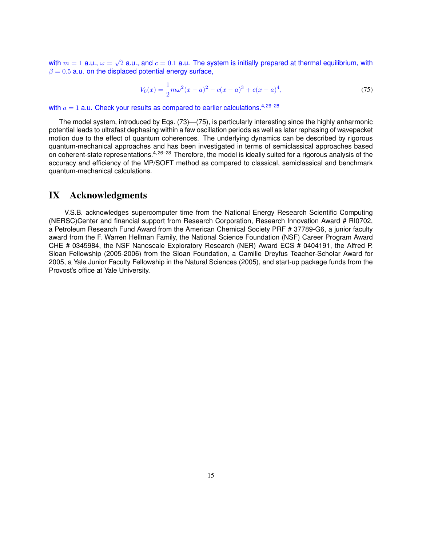with  $m=1$  a.u.,  $\omega=$ √ 2 a.u., and  $c = 0.1$  a.u. The system is initially prepared at thermal equilibrium, with  $\beta = 0.5$  a.u. on the displaced potential energy surface,

$$
V_0(x) = \frac{1}{2}m\omega^2(x-a)^2 - c(x-a)^3 + c(x-a)^4,
$$
\n(75)

with  $a = 1$  a.u. Check your results as compared to earlier calculations.<sup>4,26-28</sup>

The model system, introduced by Eqs. (73)—(75), is particularly interesting since the highly anharmonic potential leads to ultrafast dephasing within a few oscillation periods as well as later rephasing of wavepacket motion due to the effect of quantum coherences. The underlying dynamics can be described by rigorous quantum-mechanical approaches and has been investigated in terms of semiclassical approaches based on coherent-state representations.<sup>4, 26–28</sup> Therefore, the model is ideally suited for a rigorous analysis of the accuracy and efficiency of the MP/SOFT method as compared to classical, semiclassical and benchmark quantum-mechanical calculations.

# IX Acknowledgments

V.S.B. acknowledges supercomputer time from the National Energy Research Scientific Computing (NERSC)Center and financial support from Research Corporation, Research Innovation Award # RI0702, a Petroleum Research Fund Award from the American Chemical Society PRF # 37789-G6, a junior faculty award from the F. Warren Hellman Family, the National Science Foundation (NSF) Career Program Award CHE # 0345984, the NSF Nanoscale Exploratory Research (NER) Award ECS # 0404191, the Alfred P. Sloan Fellowship (2005-2006) from the Sloan Foundation, a Camille Dreyfus Teacher-Scholar Award for 2005, a Yale Junior Faculty Fellowship in the Natural Sciences (2005), and start-up package funds from the Provost's office at Yale University.